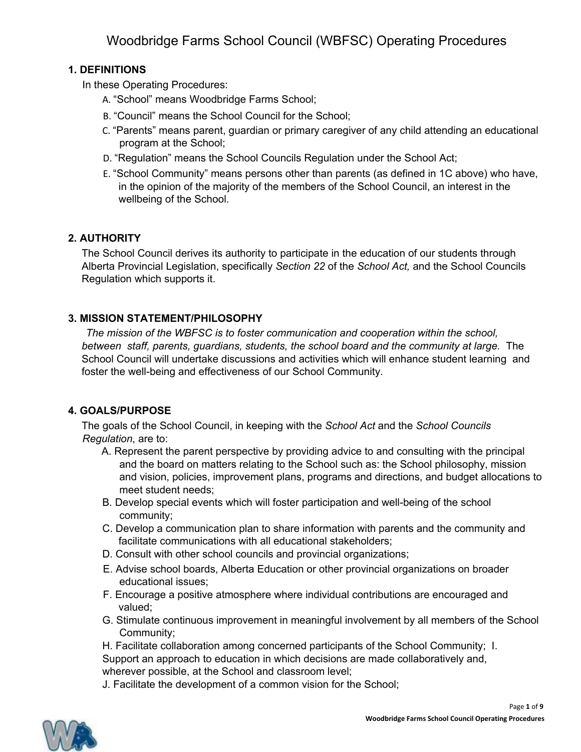## **1. DEFINITIONS**

In these Operating Procedures:

- A. "School" means Woodbridge Farms School;
- B. "Council" means the School Council for the School;
- C. "Parents" means parent, guardian or primary caregiver of any child attending an educational program at the School;
- D. "Regulation" means the School Councils Regulation under the School Act;
- E. "School Community" means persons other than parents (as defined in 1C above) who have, in the opinion of the majority of the members of the School Council, an interest in the wellbeing of the School.

## **2. AUTHORITY**

The School Council derives its authority to participate in the education of our students through Alberta Provincial Legislation, specifically *Section 22* of the *School Act,* and the School Councils Regulation which supports it.

## **3. MISSION STATEMENT/PHILOSOPHY**

*The mission of the WBFSC is to foster communication and cooperation within the school, between staff, parents, guardians, students, the school board and the community at large.* The School Council will undertake discussions and activities which will enhance student learning and foster the well-being and effectiveness of our School Community.

## **4. GOALS/PURPOSE**

The goals of the School Council, in keeping with the *School Act* and the *School Councils Regulation*, are to:

- A. Represent the parent perspective by providing advice to and consulting with the principal and the board on matters relating to the School such as: the School philosophy, mission and vision, policies, improvement plans, programs and directions, and budget allocations to meet student needs;
- B. Develop special events which will foster participation and well-being of the school community;
- C. Develop a communication plan to share information with parents and the community and facilitate communications with all educational stakeholders;
- D. Consult with other school councils and provincial organizations;
- E. Advise school boards, Alberta Education or other provincial organizations on broader educational issues;
- F. Encourage a positive atmosphere where individual contributions are encouraged and valued;
- G. Stimulate continuous improvement in meaningful involvement by all members of the School Community;
- H. Facilitate collaboration among concerned participants of the School Community; I. Support an approach to education in which decisions are made collaboratively and,

wherever possible, at the School and classroom level;

J. Facilitate the development of a common vision for the School;

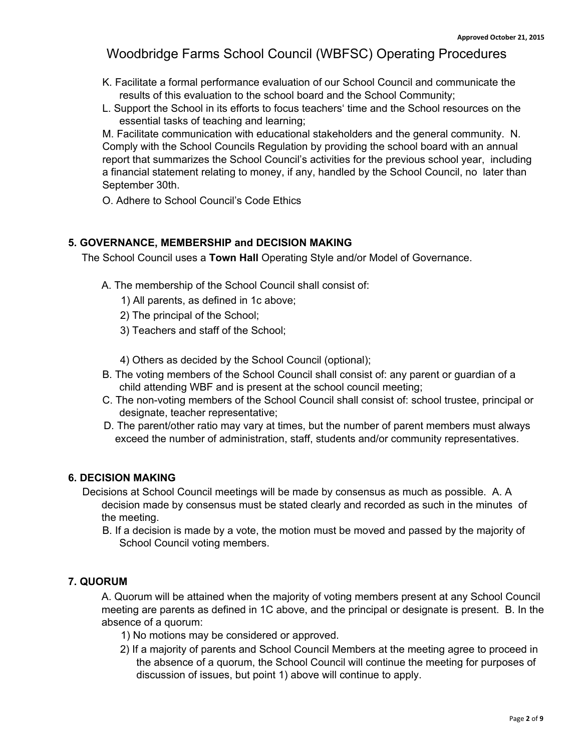- K. Facilitate a formal performance evaluation of our School Council and communicate the results of this evaluation to the school board and the School Community;
- L. Support the School in its efforts to focus teachers' time and the School resources on the essential tasks of teaching and learning;

M. Facilitate communication with educational stakeholders and the general community. N. Comply with the School Councils Regulation by providing the school board with an annual report that summarizes the School Council's activities for the previous school year, including a financial statement relating to money, if any, handled by the School Council, no later than September 30th.

O. Adhere to School Council's Code Ethics

#### **5. GOVERNANCE, MEMBERSHIP and DECISION MAKING**

The School Council uses a **Town Hall** Operating Style and/or Model of Governance.

- A. The membership of the School Council shall consist of:
	- 1) All parents, as defined in 1c above;
	- 2) The principal of the School;
	- 3) Teachers and staff of the School;

4) Others as decided by the School Council (optional);

- B. The voting members of the School Council shall consist of: any parent or guardian of a child attending WBF and is present at the school council meeting;
- C. The non-voting members of the School Council shall consist of: school trustee, principal or designate, teacher representative;
- D. The parent/other ratio may vary at times, but the number of parent members must always exceed the number of administration, staff, students and/or community representatives.

#### **6. DECISION MAKING**

Decisions at School Council meetings will be made by consensus as much as possible. A. A decision made by consensus must be stated clearly and recorded as such in the minutes of the meeting.

B. If a decision is made by a vote, the motion must be moved and passed by the majority of School Council voting members.

#### **7. QUORUM**

A. Quorum will be attained when the majority of voting members present at any School Council meeting are parents as defined in 1C above, and the principal or designate is present. B. In the absence of a quorum:

- 1) No motions may be considered or approved.
- 2) If a majority of parents and School Council Members at the meeting agree to proceed in the absence of a quorum, the School Council will continue the meeting for purposes of discussion of issues, but point 1) above will continue to apply.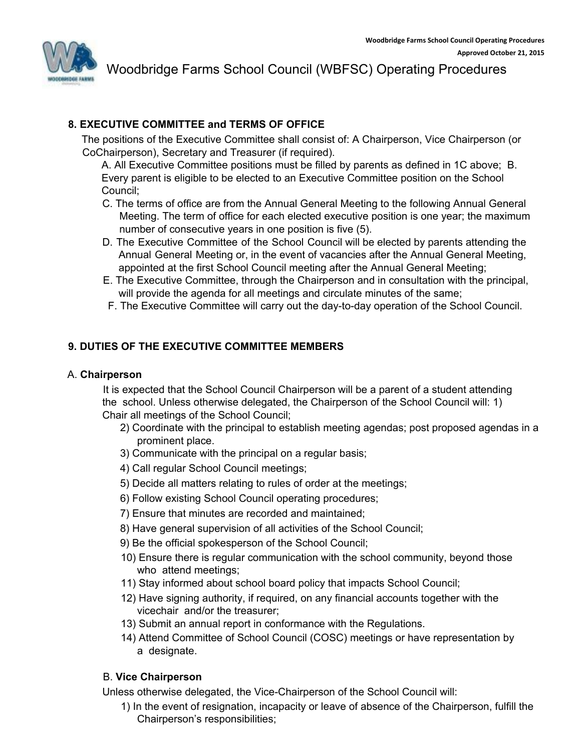

## **8. EXECUTIVE COMMITTEE and TERMS OF OFFICE**

The positions of the Executive Committee shall consist of: A Chairperson, Vice Chairperson (or CoChairperson), Secretary and Treasurer (if required).

A. All Executive Committee positions must be filled by parents as defined in 1C above; B. Every parent is eligible to be elected to an Executive Committee position on the School Council;

- C. The terms of office are from the Annual General Meeting to the following Annual General Meeting. The term of office for each elected executive position is one year; the maximum number of consecutive years in one position is five (5).
- D. The Executive Committee of the School Council will be elected by parents attending the Annual General Meeting or, in the event of vacancies after the Annual General Meeting, appointed at the first School Council meeting after the Annual General Meeting;
- E. The Executive Committee, through the Chairperson and in consultation with the principal, will provide the agenda for all meetings and circulate minutes of the same;
- F. The Executive Committee will carry out the day-to-day operation of the School Council.

## **9. DUTIES OF THE EXECUTIVE COMMITTEE MEMBERS**

#### A. **Chairperson**

It is expected that the School Council Chairperson will be a parent of a student attending the school. Unless otherwise delegated, the Chairperson of the School Council will: 1) Chair all meetings of the School Council;

- 2) Coordinate with the principal to establish meeting agendas; post proposed agendas in a prominent place.
- 3) Communicate with the principal on a regular basis;
- 4) Call regular School Council meetings;
- 5) Decide all matters relating to rules of order at the meetings;
- 6) Follow existing School Council operating procedures;
- 7) Ensure that minutes are recorded and maintained;
- 8) Have general supervision of all activities of the School Council;
- 9) Be the official spokesperson of the School Council;
- 10) Ensure there is regular communication with the school community, beyond those who attend meetings;
- 11) Stay informed about school board policy that impacts School Council;
- 12) Have signing authority, if required, on any financial accounts together with the vicechair and/or the treasurer;
- 13) Submit an annual report in conformance with the Regulations.
- 14) Attend Committee of School Council (COSC) meetings or have representation by a designate.

### B. **Vice Chairperson**

Unless otherwise delegated, the Vice-Chairperson of the School Council will:

1) In the event of resignation, incapacity or leave of absence of the Chairperson, fulfill the Chairperson's responsibilities;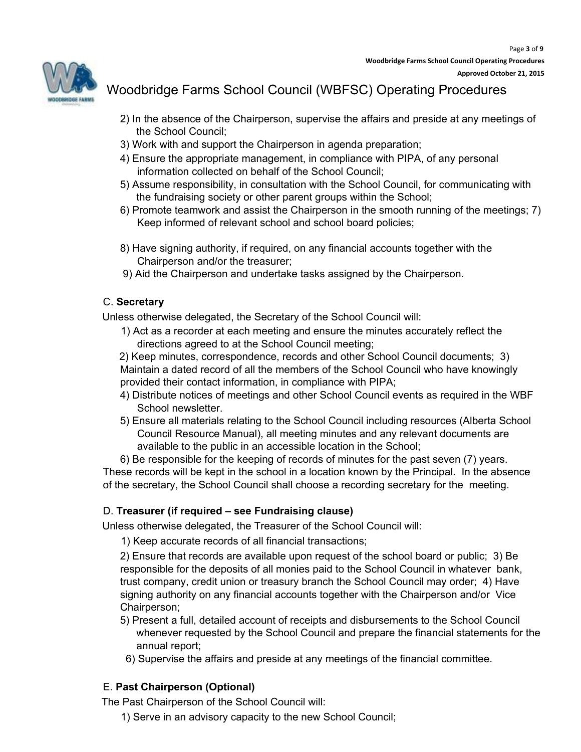

- 2) In the absence of the Chairperson, supervise the affairs and preside at any meetings of the School Council;
- 3) Work with and support the Chairperson in agenda preparation;
- 4) Ensure the appropriate management, in compliance with PIPA, of any personal information collected on behalf of the School Council;
- 5) Assume responsibility, in consultation with the School Council, for communicating with the fundraising society or other parent groups within the School;
- 6) Promote teamwork and assist the Chairperson in the smooth running of the meetings; 7) Keep informed of relevant school and school board policies;
- 8) Have signing authority, if required, on any financial accounts together with the Chairperson and/or the treasurer;
- 9) Aid the Chairperson and undertake tasks assigned by the Chairperson.

#### C. **Secretary**

Unless otherwise delegated, the Secretary of the School Council will:

1) Act as a recorder at each meeting and ensure the minutes accurately reflect the directions agreed to at the School Council meeting;

2) Keep minutes, correspondence, records and other School Council documents; 3) Maintain a dated record of all the members of the School Council who have knowingly provided their contact information, in compliance with PIPA;

- 4) Distribute notices of meetings and other School Council events as required in the WBF School newsletter.
- 5) Ensure all materials relating to the School Council including resources (Alberta School Council Resource Manual), all meeting minutes and any relevant documents are available to the public in an accessible location in the School;

6) Be responsible for the keeping of records of minutes for the past seven (7) years. These records will be kept in the school in a location known by the Principal. In the absence of the secretary, the School Council shall choose a recording secretary for the meeting.

### D. **Treasurer (if required – see Fundraising clause)**

Unless otherwise delegated, the Treasurer of the School Council will:

1) Keep accurate records of all financial transactions;

2) Ensure that records are available upon request of the school board or public; 3) Be responsible for the deposits of all monies paid to the School Council in whatever bank, trust company, credit union or treasury branch the School Council may order; 4) Have signing authority on any financial accounts together with the Chairperson and/or Vice Chairperson;

- 5) Present a full, detailed account of receipts and disbursements to the School Council whenever requested by the School Council and prepare the financial statements for the annual report;
- 6) Supervise the affairs and preside at any meetings of the financial committee.

### E. **Past Chairperson (Optional)**

The Past Chairperson of the School Council will:

1) Serve in an advisory capacity to the new School Council;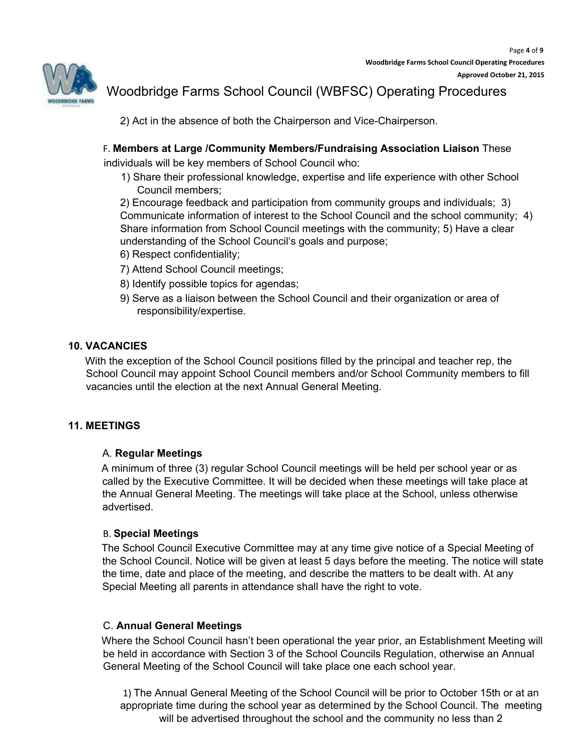

2) Act in the absence of both the Chairperson and Vice-Chairperson.

## F. **Members at Large /Community Members/Fundraising Association Liaison** These

individuals will be key members of School Council who:

1) Share their professional knowledge, expertise and life experience with other School Council members;

2) Encourage feedback and participation from community groups and individuals; 3) Communicate information of interest to the School Council and the school community; 4) Share information from School Council meetings with the community; 5) Have a clear understanding of the School Council's goals and purpose;

- 6) Respect confidentiality;
- 7) Attend School Council meetings;
- 8) Identify possible topics for agendas;
- 9) Serve as a liaison between the School Council and their organization or area of responsibility/expertise.

#### **10. VACANCIES**

With the exception of the School Council positions filled by the principal and teacher rep, the School Council may appoint School Council members and/or School Community members to fill vacancies until the election at the next Annual General Meeting.

#### **11. MEETINGS**

### A. **Regular Meetings**

A minimum of three (3) regular School Council meetings will be held per school year or as called by the Executive Committee. It will be decided when these meetings will take place at the Annual General Meeting. The meetings will take place at the School, unless otherwise advertised.

#### B. **Special Meetings**

The School Council Executive Committee may at any time give notice of a Special Meeting of the School Council. Notice will be given at least 5 days before the meeting. The notice will state the time, date and place of the meeting, and describe the matters to be dealt with. At any Special Meeting all parents in attendance shall have the right to vote.

#### C. **Annual General Meetings**

Where the School Council hasn't been operational the year prior, an Establishment Meeting will be held in accordance with Section 3 of the School Councils Regulation, otherwise an Annual General Meeting of the School Council will take place one each school year.

1) The Annual General Meeting of the School Council will be prior to October 15th or at an appropriate time during the school year as determined by the School Council. The meeting will be advertised throughout the school and the community no less than 2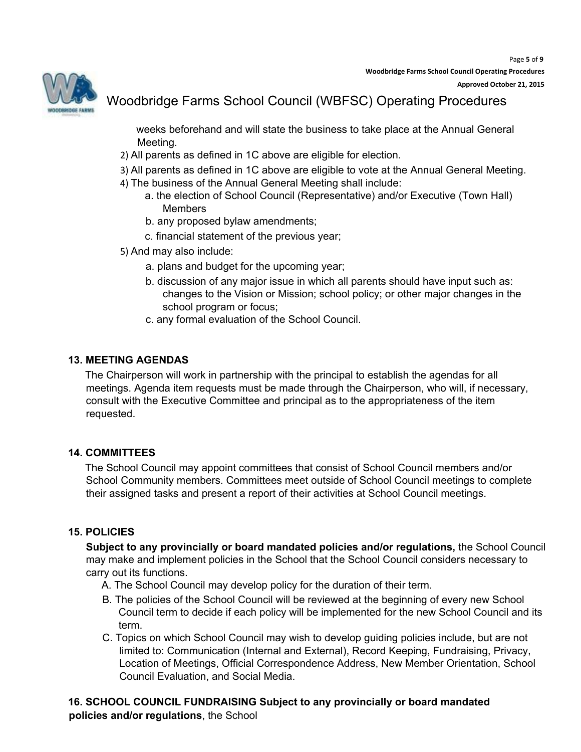

weeks beforehand and will state the business to take place at the Annual General Meeting.

- 2) All parents as defined in 1C above are eligible for election.
- 3) All parents as defined in 1C above are eligible to vote at the Annual General Meeting.
- 4) The business of the Annual General Meeting shall include:
	- a. the election of School Council (Representative) and/or Executive (Town Hall) Members
	- b. any proposed bylaw amendments;
	- c. financial statement of the previous year;
- 5) And may also include:
	- a. plans and budget for the upcoming year;
	- b. discussion of any major issue in which all parents should have input such as: changes to the Vision or Mission; school policy; or other major changes in the school program or focus;
	- c. any formal evaluation of the School Council.

### **13. MEETING AGENDAS**

The Chairperson will work in partnership with the principal to establish the agendas for all meetings. Agenda item requests must be made through the Chairperson, who will, if necessary, consult with the Executive Committee and principal as to the appropriateness of the item requested.

#### **14. COMMITTEES**

The School Council may appoint committees that consist of School Council members and/or School Community members. Committees meet outside of School Council meetings to complete their assigned tasks and present a report of their activities at School Council meetings.

#### **15. POLICIES**

**Subject to any provincially or board mandated policies and/or regulations,** the School Council may make and implement policies in the School that the School Council considers necessary to carry out its functions.

- A. The School Council may develop policy for the duration of their term.
- B. The policies of the School Council will be reviewed at the beginning of every new School Council term to decide if each policy will be implemented for the new School Council and its term.
- C. Topics on which School Council may wish to develop guiding policies include, but are not limited to: Communication (Internal and External), Record Keeping, Fundraising, Privacy, Location of Meetings, Official Correspondence Address, New Member Orientation, School Council Evaluation, and Social Media.

**16. SCHOOL COUNCIL FUNDRAISING Subject to any provincially or board mandated policies and/or regulations**, the School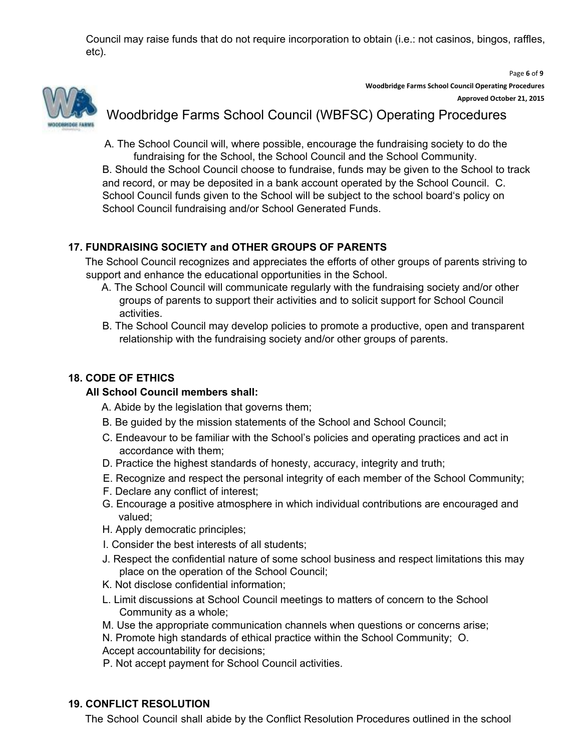Council may raise funds that do not require incorporation to obtain (i.e.: not casinos, bingos, raffles, etc).



Page **6** of **9 Woodbridge Farms School Council Operating Procedures Approved October 21, 2015**

## Woodbridge Farms School Council (WBFSC) Operating Procedures

A. The School Council will, where possible, encourage the fundraising society to do the fundraising for the School, the School Council and the School Community.

B. Should the School Council choose to fundraise, funds may be given to the School to track and record, or may be deposited in a bank account operated by the School Council. C. School Council funds given to the School will be subject to the school board's policy on School Council fundraising and/or School Generated Funds.

## **17. FUNDRAISING SOCIETY and OTHER GROUPS OF PARENTS**

The School Council recognizes and appreciates the efforts of other groups of parents striving to support and enhance the educational opportunities in the School.

- A. The School Council will communicate regularly with the fundraising society and/or other groups of parents to support their activities and to solicit support for School Council activities.
- B. The School Council may develop policies to promote a productive, open and transparent relationship with the fundraising society and/or other groups of parents.

## **18. CODE OF ETHICS**

### **All School Council members shall:**

- A. Abide by the legislation that governs them;
- B. Be guided by the mission statements of the School and School Council;
- C. Endeavour to be familiar with the School's policies and operating practices and act in accordance with them;
- D. Practice the highest standards of honesty, accuracy, integrity and truth;
- E. Recognize and respect the personal integrity of each member of the School Community;
- F. Declare any conflict of interest;
- G. Encourage a positive atmosphere in which individual contributions are encouraged and valued;
- H. Apply democratic principles;
- I. Consider the best interests of all students;
- J. Respect the confidential nature of some school business and respect limitations this may place on the operation of the School Council;
- K. Not disclose confidential information;
- L. Limit discussions at School Council meetings to matters of concern to the School Community as a whole;
- M. Use the appropriate communication channels when questions or concerns arise;

N. Promote high standards of ethical practice within the School Community; O. Accept accountability for decisions;

P. Not accept payment for School Council activities.

#### **19. CONFLICT RESOLUTION**

The School Council shall abide by the Conflict Resolution Procedures outlined in the school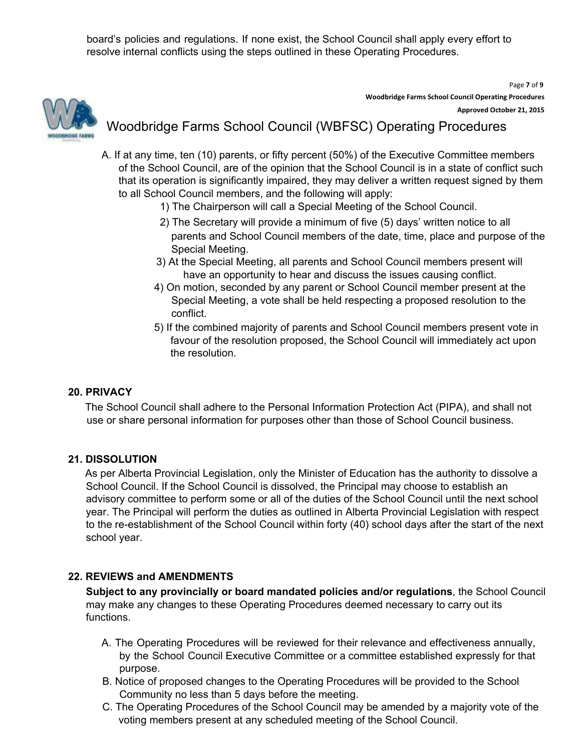board's policies and regulations. If none exist, the School Council shall apply every effort to resolve internal conflicts using the steps outlined in these Operating Procedures.

Page **7** of **9 Woodbridge Farms School Council Operating Procedures Approved October 21, 2015**

## Woodbridge Farms School Council (WBFSC) Operating Procedures

- A. If at any time, ten (10) parents, or fifty percent (50%) of the Executive Committee members of the School Council, are of the opinion that the School Council is in a state of conflict such that its operation is significantly impaired, they may deliver a written request signed by them to all School Council members, and the following will apply:
	- 1) The Chairperson will call a Special Meeting of the School Council.
	- 2) The Secretary will provide a minimum of five (5) days' written notice to all parents and School Council members of the date, time, place and purpose of the Special Meeting.
	- 3) At the Special Meeting, all parents and School Council members present will have an opportunity to hear and discuss the issues causing conflict.
	- 4) On motion, seconded by any parent or School Council member present at the Special Meeting, a vote shall be held respecting a proposed resolution to the conflict.
	- 5) If the combined majority of parents and School Council members present vote in favour of the resolution proposed, the School Council will immediately act upon the resolution.

#### **20. PRIVACY**

The School Council shall adhere to the Personal Information Protection Act (PIPA), and shall not use or share personal information for purposes other than those of School Council business.

#### **21. DISSOLUTION**

As per Alberta Provincial Legislation, only the Minister of Education has the authority to dissolve a School Council. If the School Council is dissolved, the Principal may choose to establish an advisory committee to perform some or all of the duties of the School Council until the next school year. The Principal will perform the duties as outlined in Alberta Provincial Legislation with respect to the re-establishment of the School Council within forty (40) school days after the start of the next school year.

### **22. REVIEWS and AMENDMENTS**

**Subject to any provincially or board mandated policies and/or regulations**, the School Council may make any changes to these Operating Procedures deemed necessary to carry out its functions.

- A. The Operating Procedures will be reviewed for their relevance and effectiveness annually, by the School Council Executive Committee or a committee established expressly for that purpose.
- B. Notice of proposed changes to the Operating Procedures will be provided to the School Community no less than 5 days before the meeting.
- C. The Operating Procedures of the School Council may be amended by a majority vote of the voting members present at any scheduled meeting of the School Council.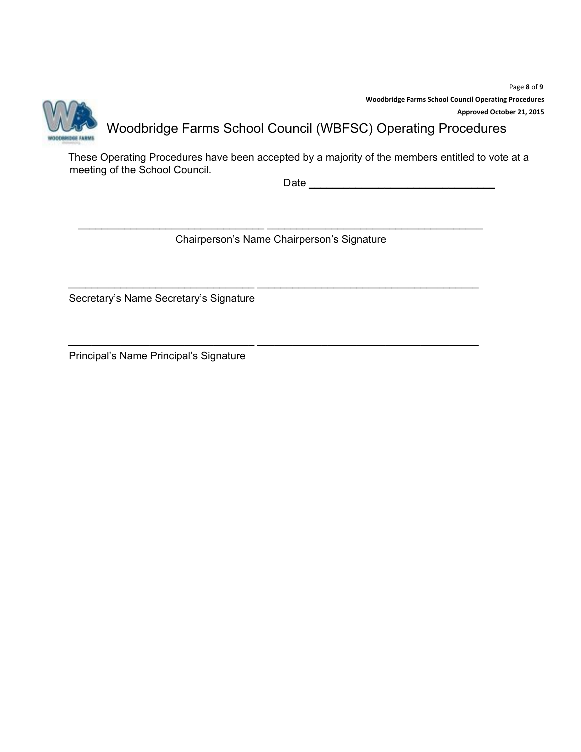Page **8** of **9 Woodbridge Farms School Council Operating Procedures Approved October 21, 2015**



# Woodbridge Farms School Council (WBFSC) Operating Procedures

These Operating Procedures have been accepted by a majority of the members entitled to vote at a meeting of the School Council.

Date \_\_\_\_\_\_\_\_\_\_\_\_\_\_\_\_\_\_\_\_\_\_\_\_\_\_\_\_\_\_\_\_

\_\_\_\_\_\_\_\_\_\_\_\_\_\_\_\_\_\_\_\_\_\_\_\_\_\_\_\_\_\_\_\_ \_\_\_\_\_\_\_\_\_\_\_\_\_\_\_\_\_\_\_\_\_\_\_\_\_\_\_\_\_\_\_\_\_\_\_\_\_ Chairperson's Name Chairperson's Signature

\_\_\_\_\_\_\_\_\_\_\_\_\_\_\_\_\_\_\_\_\_\_\_\_\_\_\_\_\_\_\_\_ \_\_\_\_\_\_\_\_\_\_\_\_\_\_\_\_\_\_\_\_\_\_\_\_\_\_\_\_\_\_\_\_\_\_\_\_\_\_

\_\_\_\_\_\_\_\_\_\_\_\_\_\_\_\_\_\_\_\_\_\_\_\_\_\_\_\_\_\_\_\_ \_\_\_\_\_\_\_\_\_\_\_\_\_\_\_\_\_\_\_\_\_\_\_\_\_\_\_\_\_\_\_\_\_\_\_\_\_\_

Secretary's Name Secretary's Signature

Principal's Name Principal's Signature